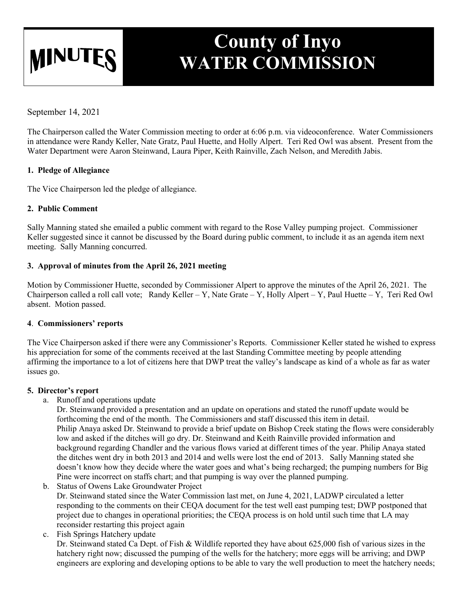# **MINUTE**

# **County of Inyo WATER COMMISSION**

September 14, 2021

The Chairperson called the Water Commission meeting to order at 6:06 p.m. via videoconference. Water Commissioners in attendance were Randy Keller, Nate Gratz, Paul Huette, and Holly Alpert. Teri Red Owl was absent. Present from the Water Department were Aaron Steinwand, Laura Piper, Keith Rainville, Zach Nelson, and Meredith Jabis.

# **1. Pledge of Allegiance**

The Vice Chairperson led the pledge of allegiance.

# **2. Public Comment**

Sally Manning stated she emailed a public comment with regard to the Rose Valley pumping project. Commissioner Keller suggested since it cannot be discussed by the Board during public comment, to include it as an agenda item next meeting. Sally Manning concurred.

# **3. Approval of minutes from the April 26, 2021 meeting**

Motion by Commissioner Huette, seconded by Commissioner Alpert to approve the minutes of the April 26, 2021. The Chairperson called a roll call vote; Randy Keller – Y, Nate Grate – Y, Holly Alpert – Y, Paul Huette – Y, Teri Red Owl absent. Motion passed.

# **4**. **Commissioners' reports**

The Vice Chairperson asked if there were any Commissioner's Reports. Commissioner Keller stated he wished to express his appreciation for some of the comments received at the last Standing Committee meeting by people attending affirming the importance to a lot of citizens here that DWP treat the valley's landscape as kind of a whole as far as water issues go.

# **5. Director's report**

a. Runoff and operations update

Dr. Steinwand provided a presentation and an update on operations and stated the runoff update would be forthcoming the end of the month. The Commissioners and staff discussed this item in detail. Philip Anaya asked Dr. Steinwand to provide a brief update on Bishop Creek stating the flows were considerably low and asked if the ditches will go dry. Dr. Steinwand and Keith Rainville provided information and background regarding Chandler and the various flows varied at different times of the year. Philip Anaya stated the ditches went dry in both 2013 and 2014 and wells were lost the end of 2013. Sally Manning stated she doesn't know how they decide where the water goes and what's being recharged; the pumping numbers for Big Pine were incorrect on staffs chart; and that pumping is way over the planned pumping.

b. Status of Owens Lake Groundwater Project

Dr. Steinwand stated since the Water Commission last met, on June 4, 2021, LADWP circulated a letter responding to the comments on their CEQA document for the test well east pumping test; DWP postponed that project due to changes in operational priorities; the CEQA process is on hold until such time that LA may reconsider restarting this project again

c. Fish Springs Hatchery update Dr. Steinwand stated Ca Dept. of Fish & Wildlife reported they have about 625,000 fish of various sizes in the hatchery right now; discussed the pumping of the wells for the hatchery; more eggs will be arriving; and DWP engineers are exploring and developing options to be able to vary the well production to meet the hatchery needs;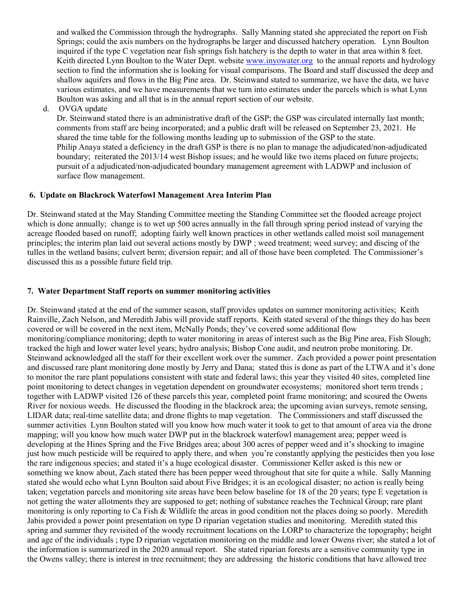and walked the Commission through the hydrographs. Sally Manning stated she appreciated the report on Fish Springs; could the axis numbers on the hydrographs be larger and discussed hatchery operation. Lynn Boulton inquired if the type C vegetation near fish springs fish hatchery is the depth to water in that area within 8 feet. Keith directed Lynn Boulton to the Water Dept. website [www.inyowater.org](http://www.inyowater.org/) to the annual reports and hydrology section to find the information she is looking for visual comparisons. The Board and staff discussed the deep and shallow aquifers and flows in the Big Pine area. Dr. Steinwand stated to summarize, we have the data, we have various estimates, and we have measurements that we turn into estimates under the parcels which is what Lynn Boulton was asking and all that is in the annual report section of our website.

d. OVGA update

Dr. Steinwand stated there is an administrative draft of the GSP; the GSP was circulated internally last month; comments from staff are being incorporated; and a public draft will be released on September 23, 2021. He shared the time table for the following months leading up to submission of the GSP to the state. Philip Anaya stated a deficiency in the draft GSP is there is no plan to manage the adjudicated/non-adjudicated boundary; reiterated the 2013/14 west Bishop issues; and he would like two items placed on future projects; pursuit of a adjudicated/non-adjudicated boundary management agreement with LADWP and inclusion of surface flow management.

#### **6. Update on Blackrock Waterfowl Management Area Interim Plan**

Dr. Steinwand stated at the May Standing Committee meeting the Standing Committee set the flooded acreage project which is done annually; change is to wet up 500 acres annually in the fall through spring period instead of varying the acreage flooded based on runoff; adopting fairly well known practices in other wetlands called moist soil management principles; the interim plan laid out several actions mostly by DWP ; weed treatment; weed survey; and discing of the tulles in the wetland basins; culvert berm; diversion repair; and all of those have been completed. The Commissioner's discussed this as a possible future field trip.

#### **7. Water Department Staff reports on summer monitoring activities**

Dr. Steinwand stated at the end of the summer season, staff provides updates on summer monitoring activities; Keith Rainville, Zach Nelson, and Meredith Jabis will provide staff reports. Keith stated several of the things they do has been covered or will be covered in the next item, McNally Ponds; they've covered some additional flow monitoring/compliance monitoring; depth to water monitoring in areas of interest such as the Big Pine area, Fish Slough; tracked the high and lower water level years; hydro analysis; Bishop Cone audit, and neutron probe monitoring. Dr. Steinwand acknowledged all the staff for their excellent work over the summer. Zach provided a power point presentation and discussed rare plant monitoring done mostly by Jerry and Dana; stated this is done as part of the LTWA and it's done to monitor the rare plant populations consistent with state and federal laws; this year they visited 40 sites, completed line point monitoring to detect changes in vegetation dependent on groundwater ecosystems; monitored short term trends ; together with LADWP visited 126 of these parcels this year, completed point frame monitoring; and scoured the Owens River for noxious weeds. He discussed the flooding in the blackrock area; the upcoming avian surveys, remote sensing, LIDAR data; real-time satellite data; and drone flights to map vegetation. The Commissioners and staff discussed the summer activities Lynn Boulton stated will you know how much water it took to get to that amount of area via the drone mapping; will you know how much water DWP put in the blackrock waterfowl management area; pepper weed is developing at the Hines Spring and the Five Bridges area; about 300 acres of pepper weed and it's shocking to imagine just how much pesticide will be required to apply there, and when you're constantly applying the pesticides then you lose the rare indigenous species; and stated it's a huge ecological disaster. Commissioner Keller asked is this new or something we know about, Zach stated there has been pepper weed throughout that site for quite a while. Sally Manning stated she would echo what Lynn Boulton said about Five Bridges; it is an ecological disaster; no action is really being taken; vegetation parcels and monitoring site areas have been below baseline for 18 of the 20 years; type E vegetation is not getting the water allotments they are supposed to get; nothing of substance reaches the Technical Group; rare plant monitoring is only reporting to Ca Fish & Wildlife the areas in good condition not the places doing so poorly. Meredith Jabis provided a power point presentation on type D riparian vegetation studies and monitoring. Meredith stated this spring and summer they revisited of the woody recruitment locations on the LORP to characterize the topography; height and age of the individuals ; type D riparian vegetation monitoring on the middle and lower Owens river; she stated a lot of the information is summarized in the 2020 annual report. She stated riparian forests are a sensitive community type in the Owens valley; there is interest in tree recruitment; they are addressing the historic conditions that have allowed tree